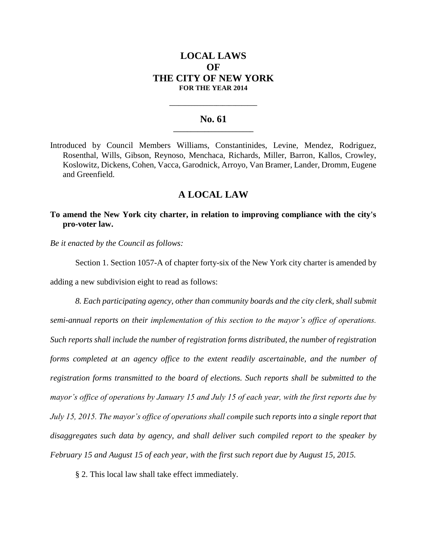# **LOCAL LAWS OF THE CITY OF NEW YORK FOR THE YEAR 2014**

### **No. 61 \_\_\_\_\_\_\_\_\_\_\_\_\_\_\_\_\_\_\_\_\_\_\_**

**\_\_\_\_\_\_\_\_\_\_\_\_\_\_\_\_\_\_\_\_\_\_\_\_\_\_\_\_**

Introduced by Council Members Williams, Constantinides, Levine, Mendez, Rodriguez, Rosenthal, Wills, Gibson, Reynoso, Menchaca, Richards, Miller, Barron, Kallos, Crowley, Koslowitz, Dickens, Cohen, Vacca, Garodnick, Arroyo, Van Bramer, Lander, Dromm, Eugene and Greenfield.

## **A LOCAL LAW**

**To amend the New York city charter, in relation to improving compliance with the city's pro-voter law.**

*Be it enacted by the Council as follows:*

Section 1. Section 1057-A of chapter forty-six of the New York city charter is amended by adding a new subdivision eight to read as follows:

*8. Each participating agency, other than community boards and the city clerk, shall submit semi-annual reports on their implementation of this section to the mayor's office of operations. Such reports shall include the number of registration forms distributed, the number of registration forms completed at an agency office to the extent readily ascertainable, and the number of registration forms transmitted to the board of elections. Such reports shall be submitted to the mayor's office of operations by January 15 and July 15 of each year, with the first reports due by July 15, 2015. The mayor's office of operations shall compile such reports into a single report that disaggregates such data by agency, and shall deliver such compiled report to the speaker by February 15 and August 15 of each year, with the first such report due by August 15, 2015.*

§ 2. This local law shall take effect immediately.